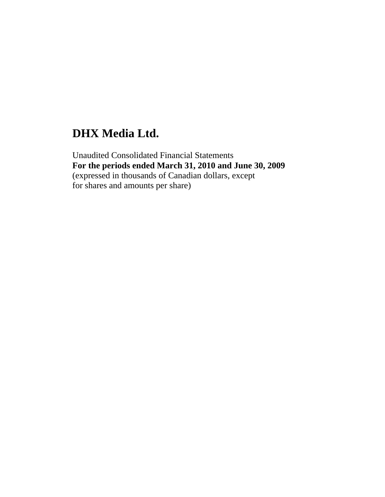# **DHX Media Ltd.**

Unaudited Consolidated Financial Statements **For the periods ended March 31, 2010 and June 30, 2009**  (expressed in thousands of Canadian dollars, except for shares and amounts per share)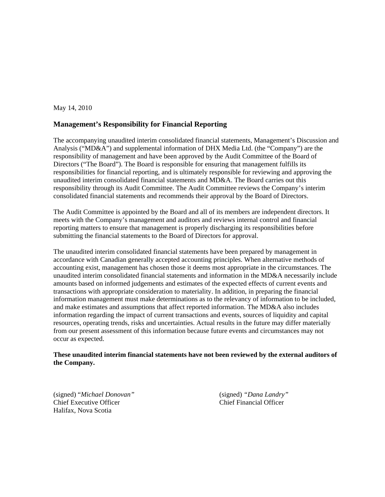#### May 14, 2010

### **Management's Responsibility for Financial Reporting**

The accompanying unaudited interim consolidated financial statements, Management's Discussion and Analysis ("MD&A") and supplemental information of DHX Media Ltd. (the "Company") are the responsibility of management and have been approved by the Audit Committee of the Board of Directors ("The Board"). The Board is responsible for ensuring that management fulfills its responsibilities for financial reporting, and is ultimately responsible for reviewing and approving the unaudited interim consolidated financial statements and MD&A. The Board carries out this responsibility through its Audit Committee. The Audit Committee reviews the Company's interim consolidated financial statements and recommends their approval by the Board of Directors.

The Audit Committee is appointed by the Board and all of its members are independent directors. It meets with the Company's management and auditors and reviews internal control and financial reporting matters to ensure that management is properly discharging its responsibilities before submitting the financial statements to the Board of Directors for approval.

The unaudited interim consolidated financial statements have been prepared by management in accordance with Canadian generally accepted accounting principles. When alternative methods of accounting exist, management has chosen those it deems most appropriate in the circumstances. The unaudited interim consolidated financial statements and information in the MD&A necessarily include amounts based on informed judgements and estimates of the expected effects of current events and transactions with appropriate consideration to materiality. In addition, in preparing the financial information management must make determinations as to the relevancy of information to be included, and make estimates and assumptions that affect reported information. The MD&A also includes information regarding the impact of current transactions and events, sources of liquidity and capital resources, operating trends, risks and uncertainties. Actual results in the future may differ materially from our present assessment of this information because future events and circumstances may not occur as expected.

#### **These unaudited interim financial statements have not been reviewed by the external auditors of the Company.**

(signed) "*Michael Donovan"* (signed) *"Dana Landry"* Chief Executive Officer Chief Financial Officer Halifax, Nova Scotia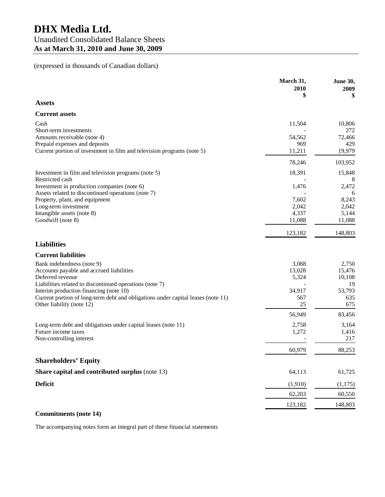# (expressed in thousands of Canadian dollars)

|                                                                                  | March 31,<br>2010<br>\$ | <b>June 30,</b><br>2009<br>\$ |
|----------------------------------------------------------------------------------|-------------------------|-------------------------------|
| <b>Assets</b>                                                                    |                         |                               |
| <b>Current assets</b>                                                            |                         |                               |
| Cash                                                                             | 11,504                  | 10,806                        |
| Short-term investments                                                           |                         | 272                           |
| Amounts receivable (note 4)                                                      | 54,562                  | 72,466                        |
| Prepaid expenses and deposits                                                    | 969                     | 429                           |
| Current portion of investment in film and television programs (note 5)           | 11,211                  | 19,979                        |
|                                                                                  | 78,246                  | 103,952                       |
| Investment in film and television programs (note 5)                              | 18,391                  | 15,848                        |
| Restricted cash                                                                  |                         | 8                             |
| Investment in production companies (note 6)                                      | 1,476                   | 2,472                         |
| Assets related to discontinued operations (note 7)                               |                         | 6                             |
| Property, plant, and equipment                                                   | 7,602                   | 8,243                         |
| Long-term investment<br>Intangible assets (note 8)                               | 2,042                   | 2,042                         |
| Goodwill (note 8)                                                                | 4,337<br>11,088         | 5,144<br>11,088               |
|                                                                                  |                         |                               |
|                                                                                  | 123,182                 | 148,803                       |
| <b>Liabilities</b>                                                               |                         |                               |
| <b>Current liabilities</b>                                                       |                         |                               |
| Bank indebtedness (note 9)                                                       | 3,088                   | 2,750                         |
| Accounts payable and accrued liabilities                                         | 13,028                  | 15,476                        |
| Deferred revenue                                                                 | 5,324                   | 10,108                        |
| Liabilities related to discontinued operations (note 7)                          |                         | 19                            |
| Interim production financing (note 10)                                           | 34,917                  | 53,793                        |
| Current portion of long-term debt and obligations under capital leases (note 11) | 567                     | 635                           |
| Other liability (note 12)                                                        | 25                      | 675                           |
|                                                                                  | 56,949                  | 83,456                        |
| Long-term debt and obligations under capital leases (note 11)                    | 2,758                   | 3,164                         |
| Future income taxes                                                              | 1,272                   | 1,416                         |
| Non-controlling interest                                                         |                         | 217                           |
|                                                                                  | 60,979                  | 88,253                        |
| <b>Shareholders' Equity</b>                                                      |                         |                               |
|                                                                                  |                         |                               |
| Share capital and contributed surplus (note 13)                                  | 64,113                  | 61,725                        |
| <b>Deficit</b>                                                                   | (1,910)                 | (1, 175)                      |
|                                                                                  | 62,203                  | 60,550                        |
|                                                                                  | 123,182                 | 148,803                       |
| <b>Commitments</b> (note 14)                                                     |                         |                               |

The accompanying notes form an integral part of these financial statements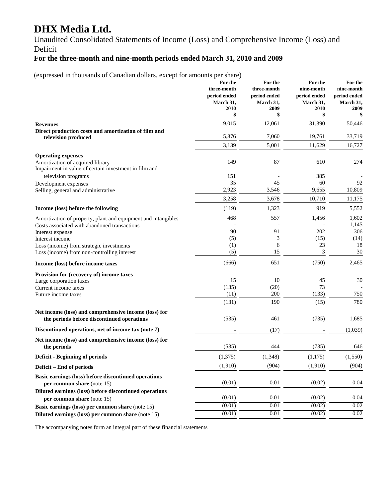# **DHX Media Ltd.**

Unaudited Consolidated Statements of Income (Loss) and Comprehensive Income (Loss) and Deficit

# **For the three-month and nine-month periods ended March 31, 2010 and 2009**

(expressed in thousands of Canadian dollars, except for amounts per share)

|                                                                                                     | For the<br>three-month<br>period ended<br>March 31,<br>2010 | For the<br>three-month<br>period ended<br>March 31,<br>2009 | For the<br>nine-month<br>period ended<br>March 31,<br>2010 | For the<br>nine-month<br>period ended<br>March 31,<br>2009 |
|-----------------------------------------------------------------------------------------------------|-------------------------------------------------------------|-------------------------------------------------------------|------------------------------------------------------------|------------------------------------------------------------|
|                                                                                                     | \$                                                          | \$                                                          | \$                                                         | \$                                                         |
| <b>Revenues</b>                                                                                     | 9,015                                                       | 12,061                                                      | 31,390                                                     | 50,446                                                     |
| Direct production costs and amortization of film and<br>television produced                         | 5,876                                                       | 7,060                                                       | 19,761                                                     | 33,719                                                     |
|                                                                                                     | 3,139                                                       | 5,001                                                       | 11,629                                                     | 16,727                                                     |
| <b>Operating expenses</b>                                                                           |                                                             |                                                             |                                                            |                                                            |
| Amortization of acquired library<br>Impairment in value of certain investment in film and           | 149                                                         | 87                                                          | 610                                                        | 274                                                        |
| television programs                                                                                 | 151                                                         |                                                             | 385                                                        |                                                            |
| Development expenses                                                                                | 35<br>2,923                                                 | 45<br>3,546                                                 | 60<br>9,655                                                | 92<br>10,809                                               |
| Selling, general and administrative                                                                 |                                                             |                                                             |                                                            |                                                            |
|                                                                                                     | 3,258                                                       | 3,678                                                       | 10,710                                                     | 11,175                                                     |
| Income (loss) before the following                                                                  | (119)                                                       | 1,323                                                       | 919                                                        | 5,552                                                      |
| Amortization of property, plant and equipment and intangibles                                       | 468                                                         | 557                                                         | 1,456                                                      | 1,602                                                      |
| Costs associated with abandoned transactions                                                        |                                                             |                                                             |                                                            | 1,145                                                      |
| Interest expense<br>Interest income                                                                 | 90<br>(5)                                                   | 91<br>3                                                     | 202<br>(15)                                                | 306<br>(14)                                                |
| Loss (income) from strategic investments                                                            | (1)                                                         | 6                                                           | 23                                                         | 18                                                         |
| Loss (income) from non-controlling interest                                                         | (5)                                                         | 15                                                          | 3                                                          | 30                                                         |
| Income (loss) before income taxes                                                                   | (666)                                                       | 651                                                         | (750)                                                      | 2,465                                                      |
| Provision for (recovery of) income taxes                                                            |                                                             |                                                             |                                                            |                                                            |
| Large corporation taxes                                                                             | 15                                                          | 10                                                          | 45                                                         | 30                                                         |
| Current income taxes                                                                                | (135)                                                       | (20)                                                        | 73                                                         |                                                            |
| Future income taxes                                                                                 | (11)                                                        | 200                                                         | (133)                                                      | 750                                                        |
|                                                                                                     | (131)                                                       | 190                                                         | (15)                                                       | 780                                                        |
| Net income (loss) and comprehensive income (loss) for<br>the periods before discontinued operations | (535)                                                       | 461                                                         | (735)                                                      | 1,685                                                      |
| Discontinued operations, net of income tax (note 7)                                                 |                                                             | (17)                                                        |                                                            | (1,039)                                                    |
| Net income (loss) and comprehensive income (loss) for<br>the periods                                | (535)                                                       | 444                                                         | (735)                                                      | 646                                                        |
| <b>Deficit - Beginning of periods</b>                                                               | (1,375)                                                     | (1, 348)                                                    | (1, 175)                                                   | (1,550)                                                    |
|                                                                                                     | (1,910)                                                     | (904)                                                       | (1,910)                                                    | (904)                                                      |
| Deficit – End of periods                                                                            |                                                             |                                                             |                                                            |                                                            |
| Basic earnings (loss) before discontinued operations<br>per common share (note 15)                  | (0.01)                                                      | 0.01                                                        | (0.02)                                                     | 0.04                                                       |
| Diluted earnings (loss) before discontinued operations<br>per common share (note 15)                | (0.01)                                                      | 0.01                                                        | (0.02)                                                     | 0.04                                                       |
| Basic earnings (loss) per common share (note 15)                                                    | (0.01)                                                      | 0.01                                                        | (0.02)                                                     | 0.02                                                       |
| Diluted earnings (loss) per common share (note 15)                                                  | (0.01)                                                      | 0.01                                                        | (0.02)                                                     | 0.02                                                       |

The accompanying notes form an integral part of these financial statements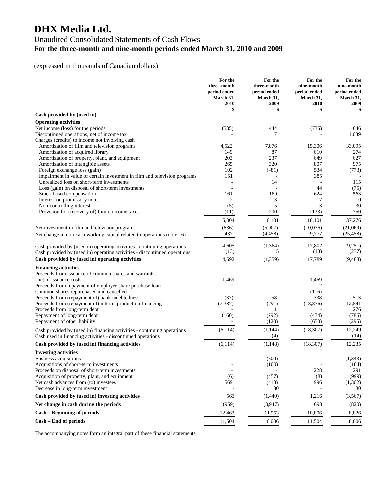# **DHX Media Ltd.**

# Unaudited Consolidated Statements of Cash Flows **For the three-month and nine-month periods ended March 31, 2010 and 2009**

# (expressed in thousands of Canadian dollars)

|                                                                                                                          | For the<br>three-month<br>period ended<br>March 31,<br>2010 | For the<br>three-month<br>period ended<br>March 31,<br>2009 | For the<br>nine-month<br>period ended<br>March 31,<br>2010 | For the<br>nine-month<br>period ended<br>March 31,<br>2009 |
|--------------------------------------------------------------------------------------------------------------------------|-------------------------------------------------------------|-------------------------------------------------------------|------------------------------------------------------------|------------------------------------------------------------|
|                                                                                                                          | \$                                                          | \$                                                          | \$                                                         | \$                                                         |
| Cash provided by (used in)                                                                                               |                                                             |                                                             |                                                            |                                                            |
| <b>Operating activities</b>                                                                                              |                                                             |                                                             |                                                            |                                                            |
| Net income (loss) for the periods                                                                                        | (535)                                                       | 444                                                         | (735)                                                      | 646                                                        |
| Discontinued operations, net of income tax                                                                               |                                                             | 17                                                          |                                                            | 1,039                                                      |
| Charges (credits) to income not involving cash                                                                           |                                                             |                                                             |                                                            |                                                            |
| Amortization of film and television programs                                                                             | 4,522                                                       | 7,076                                                       | 15,306                                                     | 33,095                                                     |
| Amortization of acquired library                                                                                         | 149<br>203                                                  | 87                                                          | 610                                                        | 274                                                        |
| Amortization of property, plant, and equipment                                                                           | 265                                                         | 237<br>320                                                  | 649<br>807                                                 | 627<br>975                                                 |
| Amortization of intangible assets<br>Foreign exchange loss (gain)                                                        | 102                                                         | (481)                                                       | 534                                                        | (773)                                                      |
| Impairment in value of certain investment in film and television programs                                                | 151                                                         |                                                             | 385                                                        |                                                            |
| Unrealized loss on short-term investments                                                                                |                                                             | 14                                                          |                                                            | 115                                                        |
| Loss (gain) on disposal of short-term investments                                                                        |                                                             |                                                             | 44                                                         | (75)                                                       |
| Stock-based compensation                                                                                                 | 161                                                         | 169                                                         | 624                                                        | 563                                                        |
| Interest on promissory notes                                                                                             | 2                                                           | 3                                                           | 7                                                          | 10                                                         |
| Non-controlling interest                                                                                                 | (5)                                                         | 15                                                          | 3                                                          | 30                                                         |
| Provision for (recovery of) future income taxes                                                                          | (11)                                                        | 200                                                         | (133)                                                      | 750                                                        |
|                                                                                                                          | 5,004                                                       | 8,101                                                       | 18,101                                                     | 37,276                                                     |
|                                                                                                                          |                                                             | (5,007)                                                     |                                                            | (21,069)                                                   |
| Net investment in film and television programs<br>Net change in non-cash working capital related to operations (note 16) | (836)<br>437                                                | (4, 458)                                                    | (10,076)<br>9,777                                          | (25, 458)                                                  |
| Cash provided by (used in) operating activities - continuing operations                                                  | 4,605                                                       | (1, 364)                                                    | 17,802                                                     | (9,251)                                                    |
| Cash provided by (used in) operating activities - discontinued operations                                                | (13)                                                        | 5                                                           | (13)                                                       | (237)                                                      |
| Cash provided by (used in) operating activities                                                                          | 4,592                                                       | (1, 359)                                                    | 17,789                                                     | (9, 488)                                                   |
| <b>Financing activities</b>                                                                                              |                                                             |                                                             |                                                            |                                                            |
| Proceeds from issuance of common shares and warrants,                                                                    |                                                             |                                                             |                                                            |                                                            |
| net of issuance costs                                                                                                    | 1,469                                                       |                                                             | 1,469                                                      |                                                            |
| Proceeds from repayment of employee share purchase loan                                                                  | 1                                                           |                                                             | $\overline{c}$                                             |                                                            |
| Common shares repurchased and cancelled                                                                                  |                                                             |                                                             | (116)                                                      |                                                            |
| Proceeds from (repayment of) bank indebtedness                                                                           | (37)                                                        | 58                                                          | 338                                                        | 513                                                        |
| Proceeds from (repayment of) interim production financing                                                                | (7, 387)                                                    | (791)                                                       | (18, 876)                                                  | 12,541                                                     |
| Proceeds from long-term debt                                                                                             |                                                             | 1                                                           |                                                            | 276                                                        |
| Repayment of long-term debt<br>Repayment of other liability                                                              | (160)                                                       | (292)<br>(120)                                              | (474)<br>(650)                                             | (786)<br>(295)                                             |
|                                                                                                                          |                                                             |                                                             |                                                            |                                                            |
| Cash provided by (used in) financing activities - continuing operations                                                  | (6, 114)                                                    | (1, 144)                                                    | (18, 307)                                                  | 12,249                                                     |
| Cash used in financing activities - discontinued operations                                                              |                                                             | (4)                                                         |                                                            | (14)                                                       |
| Cash provided by (used in) financing activities                                                                          | (6, 114)                                                    | (1, 148)                                                    | (18, 307)                                                  | 12,235                                                     |
| <b>Investing activities</b>                                                                                              |                                                             |                                                             |                                                            |                                                            |
| Business acquisitions                                                                                                    |                                                             | (500)                                                       |                                                            | (1, 343)                                                   |
| Acquisitions of short-term investments                                                                                   |                                                             | (100)                                                       |                                                            | (184)                                                      |
| Proceeds on disposal of short-term investments                                                                           |                                                             |                                                             | 228                                                        | 291                                                        |
| Acquisition of property, plant, and equipment<br>Net cash advances from (to) investees                                   | (6)<br>569                                                  | (457)                                                       | (8)                                                        | (999)                                                      |
| Decrease in long-term investment                                                                                         |                                                             | (413)<br>30                                                 | 996                                                        | (1,362)<br>30                                              |
| Cash provided by (used in) investing activities                                                                          | 563                                                         | (1,440)                                                     | 1,216                                                      | (3, 567)                                                   |
| Net change in cash during the periods                                                                                    | (959)                                                       | (3,947)                                                     | 698                                                        | (820)                                                      |
| <b>Cash - Beginning of periods</b>                                                                                       |                                                             |                                                             | 10,806                                                     | 8,826                                                      |
|                                                                                                                          | 12,463                                                      | 11,953                                                      |                                                            |                                                            |
| Cash - End of periods                                                                                                    | 11,504                                                      | 8,006                                                       | 11,504                                                     | 8,006                                                      |

The accompanying notes form an integral part of these financial statements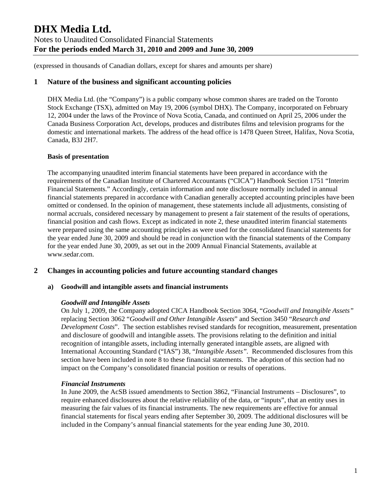(expressed in thousands of Canadian dollars, except for shares and amounts per share)

# **1 Nature of the business and significant accounting policies**

DHX Media Ltd. (the "Company") is a public company whose common shares are traded on the Toronto Stock Exchange (TSX), admitted on May 19, 2006 (symbol DHX). The Company, incorporated on February 12, 2004 under the laws of the Province of Nova Scotia, Canada, and continued on April 25, 2006 under the Canada Business Corporation Act, develops, produces and distributes films and television programs for the domestic and international markets. The address of the head office is 1478 Queen Street, Halifax, Nova Scotia, Canada, B3J 2H7.

#### **Basis of presentation**

The accompanying unaudited interim financial statements have been prepared in accordance with the requirements of the Canadian Institute of Chartered Accountants ("CICA") Handbook Section 1751 "Interim Financial Statements." Accordingly, certain information and note disclosure normally included in annual financial statements prepared in accordance with Canadian generally accepted accounting principles have been omitted or condensed. In the opinion of management, these statements include all adjustments, consisting of normal accruals, considered necessary by management to present a fair statement of the results of operations, financial position and cash flows. Except as indicated in note 2, these unaudited interim financial statements were prepared using the same accounting principles as were used for the consolidated financial statements for the year ended June 30, 2009 and should be read in conjunction with the financial statements of the Company for the year ended June 30, 2009, as set out in the 2009 Annual Financial Statements, available at www.sedar.com.

# **2 Changes in accounting policies and future accounting standard changes**

#### **a) Goodwill and intangible assets and financial instruments**

#### *Goodwill and Intangible Assets*

On July 1, 2009, the Company adopted CICA Handbook Section 3064, "*Goodwill and Intangible Assets"* replacing Section 3062 "*Goodwill and Other Intangible Assets*" and Section 3450 "*Research and Development Costs*". The section establishes revised standards for recognition, measurement, presentation and disclosure of goodwill and intangible assets. The provisions relating to the definition and initial recognition of intangible assets, including internally generated intangible assets, are aligned with International Accounting Standard ("IAS") 38, "*Intangible Assets".* Recommended disclosures from this section have been included in note 8 to these financial statements. The adoption of this section had no impact on the Company's consolidated financial position or results of operations.

#### *Financial Instruments*

In June 2009, the AcSB issued amendments to Section 3862, "Financial Instruments – Disclosures", to require enhanced disclosures about the relative reliability of the data, or "inputs", that an entity uses in measuring the fair values of its financial instruments. The new requirements are effective for annual financial statements for fiscal years ending after September 30, 2009. The additional disclosures will be included in the Company's annual financial statements for the year ending June 30, 2010.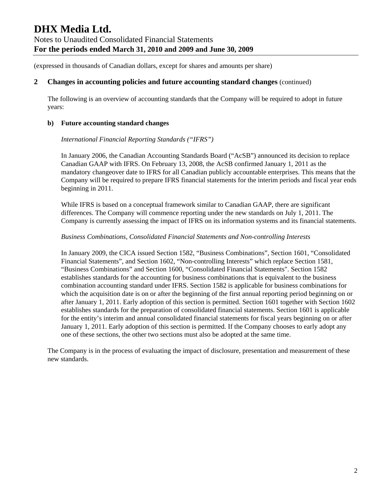### **2 Changes in accounting policies and future accounting standard changes** (continued)

The following is an overview of accounting standards that the Company will be required to adopt in future years:

#### **b) Future accounting standard changes**

#### *International Financial Reporting Standards ("IFRS")*

In January 2006, the Canadian Accounting Standards Board ("AcSB") announced its decision to replace Canadian GAAP with IFRS. On February 13, 2008, the AcSB confirmed January 1, 2011 as the mandatory changeover date to IFRS for all Canadian publicly accountable enterprises. This means that the Company will be required to prepare IFRS financial statements for the interim periods and fiscal year ends beginning in 2011.

While IFRS is based on a conceptual framework similar to Canadian GAAP, there are significant differences. The Company will commence reporting under the new standards on July 1, 2011. The Company is currently assessing the impact of IFRS on its information systems and its financial statements.

#### *Business Combinations, Consolidated Financial Statements and Non-controlling Interests*

In January 2009, the CICA issued Section 1582, "Business Combinations", Section 1601, "Consolidated Financial Statements", and Section 1602, "Non-controlling Interests" which replace Section 1581, "Business Combinations" and Section 1600, "Consolidated Financial Statements". Section 1582 establishes standards for the accounting for business combinations that is equivalent to the business combination accounting standard under IFRS. Section 1582 is applicable for business combinations for which the acquisition date is on or after the beginning of the first annual reporting period beginning on or after January 1, 2011. Early adoption of this section is permitted. Section 1601 together with Section 1602 establishes standards for the preparation of consolidated financial statements. Section 1601 is applicable for the entity's interim and annual consolidated financial statements for fiscal years beginning on or after January 1, 2011. Early adoption of this section is permitted. If the Company chooses to early adopt any one of these sections, the other two sections must also be adopted at the same time.

The Company is in the process of evaluating the impact of disclosure, presentation and measurement of these new standards.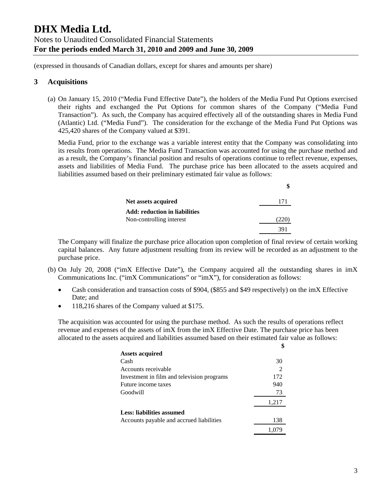(expressed in thousands of Canadian dollars, except for shares and amounts per share)

### **3 Acquisitions**

(a) On January 15, 2010 ("Media Fund Effective Date"), the holders of the Media Fund Put Options exercised their rights and exchanged the Put Options for common shares of the Company ("Media Fund Transaction"). As such, the Company has acquired effectively all of the outstanding shares in Media Fund (Atlantic) Ltd. ("Media Fund"). The consideration for the exchange of the Media Fund Put Options was 425,420 shares of the Company valued at \$391.

Media Fund, prior to the exchange was a variable interest entity that the Company was consolidating into its results from operations. The Media Fund Transaction was accounted for using the purchase method and as a result, the Company's financial position and results of operations continue to reflect revenue, expenses, assets and liabilities of Media Fund. The purchase price has been allocated to the assets acquired and liabilities assumed based on their preliminary estimated fair value as follows:

| Net assets acquired                  | 171  |
|--------------------------------------|------|
| <b>Add: reduction in liabilities</b> |      |
| Non-controlling interest             | '220 |
|                                      | 391  |

The Company will finalize the purchase price allocation upon completion of final review of certain working capital balances. Any future adjustment resulting from its review will be recorded as an adjustment to the purchase price.

- (b) On July 20, 2008 ("imX Effective Date"), the Company acquired all the outstanding shares in imX Communications Inc. ("imX Communications" or "imX"), for consideration as follows:
	- Cash consideration and transaction costs of \$904, (\$855 and \$49 respectively) on the imX Effective Date; and
	- 118,216 shares of the Company valued at \$175.

The acquisition was accounted for using the purchase method. As such the results of operations reflect revenue and expenses of the assets of imX from the imX Effective Date. The purchase price has been allocated to the assets acquired and liabilities assumed based on their estimated fair value as follows:

|                                            | \$    |
|--------------------------------------------|-------|
| <b>Assets acquired</b>                     |       |
| Cash                                       | 30    |
| Accounts receivable                        |       |
| Investment in film and television programs | 172   |
| Future income taxes                        | 940   |
| Goodwill                                   | 73    |
|                                            | 1,217 |
| Less: liabilities assumed                  |       |
| Accounts payable and accrued liabilities   | 138   |
|                                            |       |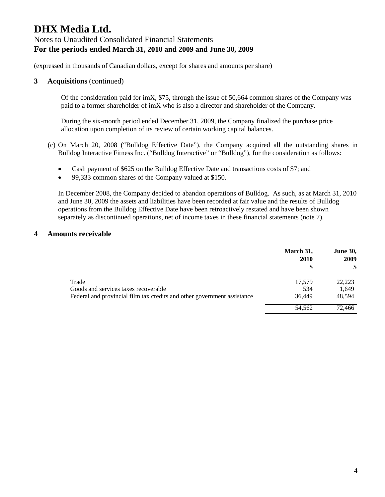(expressed in thousands of Canadian dollars, except for shares and amounts per share)

### **3 Acquisitions** (continued)

Of the consideration paid for imX, \$75, through the issue of 50,664 common shares of the Company was paid to a former shareholder of imX who is also a director and shareholder of the Company.

During the six-month period ended December 31, 2009, the Company finalized the purchase price allocation upon completion of its review of certain working capital balances.

- (c) On March 20, 2008 ("Bulldog Effective Date"), the Company acquired all the outstanding shares in Bulldog Interactive Fitness Inc. ("Bulldog Interactive" or "Bulldog"), for the consideration as follows:
	- Cash payment of \$625 on the Bulldog Effective Date and transactions costs of \$7; and
	- 99,333 common shares of the Company valued at \$150.

In December 2008, the Company decided to abandon operations of Bulldog. As such, as at March 31, 2010 and June 30, 2009 the assets and liabilities have been recorded at fair value and the results of Bulldog operations from the Bulldog Effective Date have been retroactively restated and have been shown separately as discontinued operations, net of income taxes in these financial statements (note 7).

# **4 Amounts receivable**

|                                                                         | March 31,<br>2010<br>\$ | <b>June 30,</b><br>2009<br>\$ |
|-------------------------------------------------------------------------|-------------------------|-------------------------------|
| Trade                                                                   | 17,579                  | 22,223                        |
| Goods and services taxes recoverable                                    | 534                     | 1,649                         |
| Federal and provincial film tax credits and other government assistance | 36,449                  | 48.594                        |
|                                                                         | 54,562                  | 72.466                        |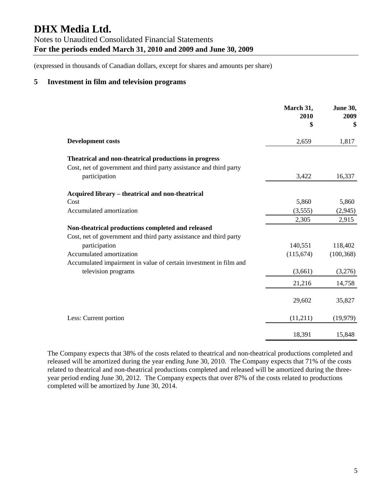### **5 Investment in film and television programs**

|                                                                                     | March 31,<br>2010<br>\$ | June 30,<br>2009<br>\$ |
|-------------------------------------------------------------------------------------|-------------------------|------------------------|
| <b>Development costs</b>                                                            | 2,659                   | 1,817                  |
| Theatrical and non-theatrical productions in progress                               |                         |                        |
| Cost, net of government and third party assistance and third party<br>participation | 3,422                   | 16,337                 |
| Acquired library – theatrical and non-theatrical                                    |                         |                        |
| Cost                                                                                | 5,860                   | 5,860                  |
| Accumulated amortization                                                            | (3,555)                 | (2,945)                |
|                                                                                     | 2,305                   | 2,915                  |
| Non-theatrical productions completed and released                                   |                         |                        |
| Cost, net of government and third party assistance and third party                  |                         |                        |
| participation                                                                       | 140,551                 | 118,402                |
| Accumulated amortization                                                            | (115,674)               | (100, 368)             |
| Accumulated impairment in value of certain investment in film and                   |                         |                        |
| television programs                                                                 | (3,661)                 | (3,276)                |
|                                                                                     | 21,216                  | 14,758                 |
|                                                                                     | 29,602                  | 35,827                 |
| Less: Current portion                                                               | (11,211)                | (19, 979)              |
|                                                                                     | 18,391                  | 15,848                 |

The Company expects that 38% of the costs related to theatrical and non-theatrical productions completed and released will be amortized during the year ending June 30, 2010. The Company expects that 71% of the costs related to theatrical and non-theatrical productions completed and released will be amortized during the threeyear period ending June 30, 2012. The Company expects that over 87% of the costs related to productions completed will be amortized by June 30, 2014.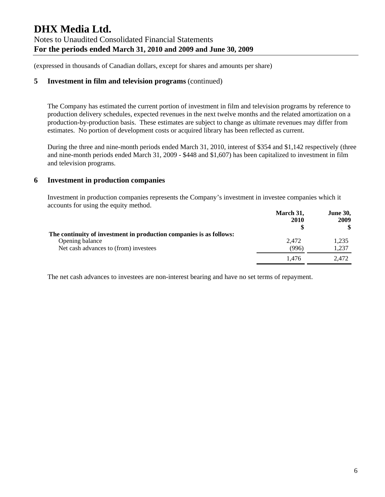(expressed in thousands of Canadian dollars, except for shares and amounts per share)

# **5 Investment in film and television programs** (continued)

The Company has estimated the current portion of investment in film and television programs by reference to production delivery schedules, expected revenues in the next twelve months and the related amortization on a production-by-production basis. These estimates are subject to change as ultimate revenues may differ from estimates. No portion of development costs or acquired library has been reflected as current.

During the three and nine-month periods ended March 31, 2010, interest of \$354 and \$1,142 respectively (three and nine-month periods ended March 31, 2009 - \$448 and \$1,607) has been capitalized to investment in film and television programs.

# **6 Investment in production companies**

Investment in production companies represents the Company's investment in investee companies which it accounts for using the equity method.

|                                                                     | March 31,<br>2010 | <b>June 30,</b><br>2009<br>\$ |
|---------------------------------------------------------------------|-------------------|-------------------------------|
| The continuity of investment in production companies is as follows: |                   |                               |
| Opening balance                                                     | 2.472             | 1,235                         |
| Net cash advances to (from) investees                               | (996)             | 1.237                         |
|                                                                     | 1.476             | 2.472                         |

The net cash advances to investees are non-interest bearing and have no set terms of repayment.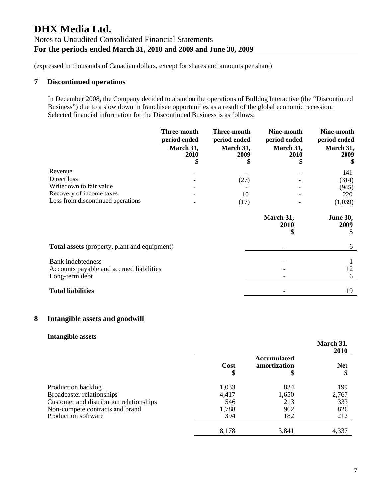# **7 Discontinued operations**

In December 2008, the Company decided to abandon the operations of Bulldog Interactive (the "Discontinued Business") due to a slow down in franchisee opportunities as a result of the global economic recession. Selected financial information for the Discontinued Business is as follows:

|                                                                                        | Three-month<br>period ended<br>March 31,<br>2010<br>\$ | Three-month<br>period ended<br>March 31,<br>2009<br>\$ | Nine-month<br>period ended<br>March 31,<br>2010<br>\$ | Nine-month<br>period ended<br>March 31,<br>2009<br>S |
|----------------------------------------------------------------------------------------|--------------------------------------------------------|--------------------------------------------------------|-------------------------------------------------------|------------------------------------------------------|
| Revenue                                                                                |                                                        |                                                        |                                                       | 141                                                  |
| Direct loss                                                                            |                                                        | (27)                                                   |                                                       | (314)                                                |
| Writedown to fair value                                                                |                                                        |                                                        |                                                       | (945)                                                |
| Recovery of income taxes                                                               |                                                        | 10                                                     |                                                       | 220                                                  |
| Loss from discontinued operations                                                      |                                                        | (17)                                                   |                                                       | (1,039)                                              |
|                                                                                        |                                                        |                                                        | March 31,<br><b>2010</b><br>\$                        | <b>June 30,</b><br>2009<br>\$                        |
| <b>Total assets</b> (property, plant and equipment)                                    |                                                        |                                                        |                                                       | 6                                                    |
| <b>Bank</b> indebtedness<br>Accounts payable and accrued liabilities<br>Long-term debt |                                                        |                                                        |                                                       | 12<br>6                                              |
| <b>Total liabilities</b>                                                               |                                                        |                                                        |                                                       | 19                                                   |

# **8 Intangible assets and goodwill**

#### **Intangible assets**

|                                         |            |                                          | March 31,<br><b>2010</b> |
|-----------------------------------------|------------|------------------------------------------|--------------------------|
|                                         | Cost<br>\$ | <b>Accumulated</b><br>amortization<br>\$ | <b>Net</b><br>\$         |
| Production backlog                      | 1,033      | 834                                      | 199                      |
| Broadcaster relationships               | 4,417      | 1,650                                    | 2,767                    |
| Customer and distribution relationships | 546        | 213                                      | 333                      |
| Non-compete contracts and brand         | 1,788      | 962                                      | 826                      |
| Production software                     | 394        | 182                                      | 212                      |
|                                         | 8,178      | 3,841                                    | 4,337                    |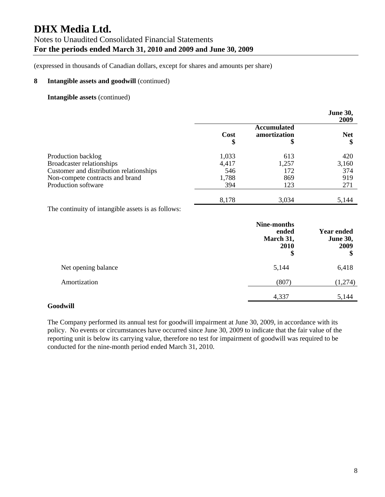(expressed in thousands of Canadian dollars, except for shares and amounts per share)

#### **8 Intangible assets and goodwill** (continued)

#### **Intangible assets** (continued)

|                                                                                                                                                      |                                       |                                          | <b>June 30,</b><br>2009           |
|------------------------------------------------------------------------------------------------------------------------------------------------------|---------------------------------------|------------------------------------------|-----------------------------------|
|                                                                                                                                                      | Cost<br>\$                            | <b>Accumulated</b><br>amortization<br>\$ | <b>Net</b><br>\$                  |
| Production backlog<br>Broadcaster relationships<br>Customer and distribution relationships<br>Non-compete contracts and brand<br>Production software | 1,033<br>4,417<br>546<br>1,788<br>394 | 613<br>1,257<br>172<br>869<br>123        | 420<br>3,160<br>374<br>919<br>271 |
|                                                                                                                                                      | 8,178                                 | 3,034                                    | 5,144                             |

The continuity of intangible assets is as follows:

|                     | Nine-months<br>ended<br>March 31,<br>2010<br>\$ | <b>Year ended</b><br><b>June 30,</b><br>2009<br>\$ |
|---------------------|-------------------------------------------------|----------------------------------------------------|
| Net opening balance | 5,144                                           | 6,418                                              |
| Amortization        | (807)                                           | (1,274)                                            |
|                     | 4,337                                           | 5,144                                              |

#### **Goodwill**

The Company performed its annual test for goodwill impairment at June 30, 2009, in accordance with its policy. No events or circumstances have occurred since June 30, 2009 to indicate that the fair value of the reporting unit is below its carrying value, therefore no test for impairment of goodwill was required to be conducted for the nine-month period ended March 31, 2010.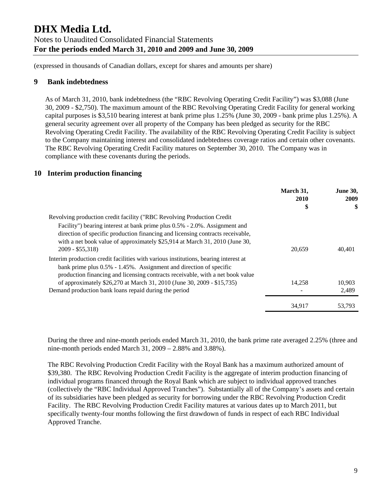(expressed in thousands of Canadian dollars, except for shares and amounts per share)

### **9 Bank indebtedness**

As of March 31, 2010, bank indebtedness (the "RBC Revolving Operating Credit Facility") was \$3,088 (June 30, 2009 - \$2,750). The maximum amount of the RBC Revolving Operating Credit Facility for general working capital purposes is \$3,510 bearing interest at bank prime plus 1.25% (June 30, 2009 - bank prime plus 1.25%). A general security agreement over all property of the Company has been pledged as security for the RBC Revolving Operating Credit Facility. The availability of the RBC Revolving Operating Credit Facility is subject to the Company maintaining interest and consolidated indebtedness coverage ratios and certain other covenants. The RBC Revolving Operating Credit Facility matures on September 30, 2010. The Company was in compliance with these covenants during the periods.

# **10 Interim production financing**

|                                                                                                                                                                                                                                                                                                                                                                                   | March 31,<br>2010<br>\$ | <b>June 30,</b><br>2009<br>\$ |
|-----------------------------------------------------------------------------------------------------------------------------------------------------------------------------------------------------------------------------------------------------------------------------------------------------------------------------------------------------------------------------------|-------------------------|-------------------------------|
| Revolving production credit facility ("RBC Revolving Production Credit<br>Facility") bearing interest at bank prime plus 0.5% - 2.0%. Assignment and<br>direction of specific production financing and licensing contracts receivable,<br>with a net book value of approximately \$25,914 at March 31, 2010 (June 30,<br>$2009 - $55,318$                                         | 20,659                  | 40.401                        |
| Interim production credit facilities with various institutions, bearing interest at<br>bank prime plus $0.5\%$ - 1.45%. Assignment and direction of specific<br>production financing and licensing contracts receivable, with a net book value<br>of approximately \$26,270 at March 31, 2010 (June 30, 2009 - \$15,735)<br>Demand production bank loans repaid during the period | 14,258                  | 10,903<br>2,489               |
|                                                                                                                                                                                                                                                                                                                                                                                   | 34,917                  | 53.793                        |

During the three and nine-month periods ended March 31, 2010, the bank prime rate averaged 2.25% (three and nine-month periods ended March 31, 2009 – 2.88% and 3.88%).

The RBC Revolving Production Credit Facility with the Royal Bank has a maximum authorized amount of \$39,380. The RBC Revolving Production Credit Facility is the aggregate of interim production financing of individual programs financed through the Royal Bank which are subject to individual approved tranches (collectively the "RBC Individual Approved Tranches"). Substantially all of the Company's assets and certain of its subsidiaries have been pledged as security for borrowing under the RBC Revolving Production Credit Facility. The RBC Revolving Production Credit Facility matures at various dates up to March 2011, but specifically twenty-four months following the first drawdown of funds in respect of each RBC Individual Approved Tranche.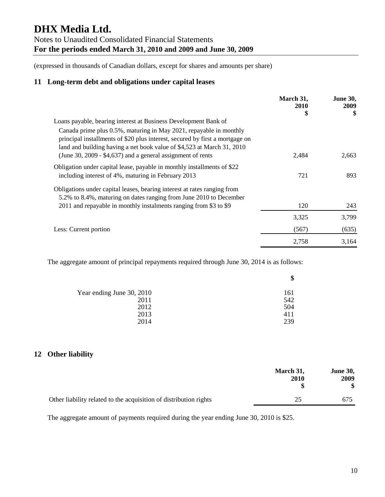(expressed in thousands of Canadian dollars, except for shares and amounts per share)

# **11 Long-term debt and obligations under capital leases**

|                                                                                                                                                                                                                              | March 31,<br><b>2010</b> | <b>June 30,</b><br>2009 |
|------------------------------------------------------------------------------------------------------------------------------------------------------------------------------------------------------------------------------|--------------------------|-------------------------|
|                                                                                                                                                                                                                              | \$                       | \$                      |
| Loans payable, bearing interest at Business Development Bank of                                                                                                                                                              |                          |                         |
| Canada prime plus 0.5%, maturing in May 2021, repayable in monthly<br>principal installments of \$20 plus interest, secured by first a mortgage on<br>land and building having a net book value of \$4,523 at March 31, 2010 |                          |                         |
| (June 30, 2009 - $$4,637$ ) and a general assignment of rents                                                                                                                                                                | 2,484                    | 2,663                   |
| Obligation under capital lease, payable in monthly installments of \$22                                                                                                                                                      |                          |                         |
| including interest of 4%, maturing in February 2013                                                                                                                                                                          | 721                      | 893                     |
| Obligations under capital leases, bearing interest at rates ranging from                                                                                                                                                     |                          |                         |
| 5.2% to 8.4%, maturing on dates ranging from June 2010 to December                                                                                                                                                           |                          |                         |
| 2011 and repayable in monthly instalments ranging from \$3 to \$9                                                                                                                                                            | 120                      | 243                     |
|                                                                                                                                                                                                                              | 3,325                    | 3,799                   |
| Less: Current portion                                                                                                                                                                                                        | (567)                    | (635)                   |
|                                                                                                                                                                                                                              | 2,758                    | 3,164                   |

The aggregate amount of principal repayments required through June 30, 2014 is as follows:

| Φ   |
|-----|
| 161 |
| 542 |
| 504 |
| 411 |
| 239 |
|     |

# **12 Other liability**

|                                                                   | March 31,<br>2010 | <b>June 30,</b><br>2009<br>\$ |
|-------------------------------------------------------------------|-------------------|-------------------------------|
| Other liability related to the acquisition of distribution rights | 25                | 675                           |

The aggregate amount of payments required during the year ending June 30, 2010 is \$25.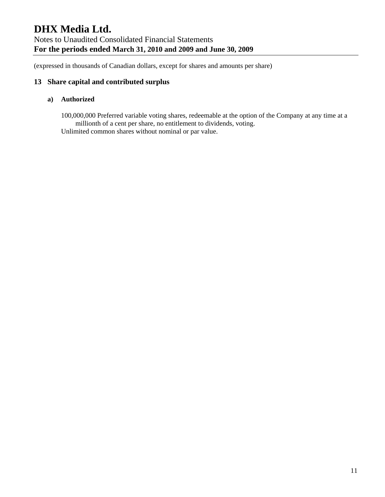# **13 Share capital and contributed surplus**

#### **a) Authorized**

100,000,000 Preferred variable voting shares, redeemable at the option of the Company at any time at a millionth of a cent per share, no entitlement to dividends, voting. Unlimited common shares without nominal or par value.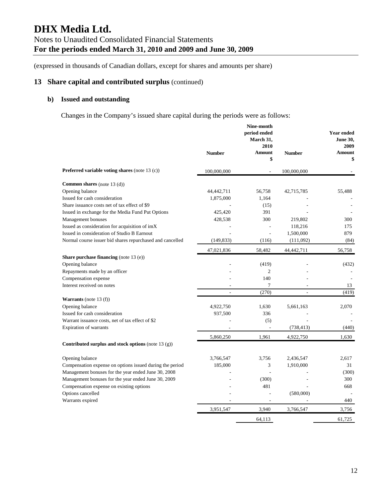# **13 Share capital and contributed surplus** (continued)

# **b) Issued and outstanding**

Changes in the Company's issued share capital during the periods were as follows:

|                                                                            |                          | Nine-month<br>period ended<br>March 31,<br>2010 |                | <b>Year ended</b><br><b>June 30.</b><br>2009 |
|----------------------------------------------------------------------------|--------------------------|-------------------------------------------------|----------------|----------------------------------------------|
|                                                                            | <b>Number</b>            | Amount                                          | <b>Number</b>  | Amount                                       |
|                                                                            |                          | \$                                              |                | \$                                           |
| Preferred variable voting shares (note 13 (c))                             | 100,000,000              |                                                 | 100,000,000    |                                              |
| <b>Common shares</b> (note 13 (d))                                         |                          |                                                 |                |                                              |
| Opening balance                                                            | 44,442,711               | 56,758                                          | 42,715,785     | 55,488                                       |
| Issued for cash consideration                                              | 1,875,000                | 1.164                                           |                |                                              |
| Share issuance costs net of tax effect of \$9                              |                          | (15)                                            |                |                                              |
| Issued in exchange for the Media Fund Put Options                          | 425,420                  | 391                                             |                |                                              |
| Management bonuses                                                         | 428,538                  | 300                                             | 219,802        | 300                                          |
| Issued as consideration for acquisition of imX                             |                          |                                                 | 118,216        | 175                                          |
| Issued in consideration of Studio B Earnout                                |                          | L.                                              | 1,500,000      | 879                                          |
| Normal course issuer bid shares repurchased and cancelled                  | (149, 833)               | (116)                                           | (111,092)      | (84)                                         |
|                                                                            | 47,021,836               | 58,482                                          | 44,442,711     | 56,758                                       |
| <b>Share purchase financing</b> (note 13 (e))                              |                          |                                                 |                |                                              |
| Opening balance                                                            |                          | (419)                                           |                | (432)                                        |
| Repayments made by an officer                                              |                          | 2                                               |                |                                              |
| Compensation expense                                                       |                          | 140                                             |                |                                              |
| Interest received on notes                                                 | $\overline{\phantom{a}}$ | 7                                               | $\overline{a}$ | 13                                           |
|                                                                            |                          | (270)                                           | ÷              | (419)                                        |
| <b>Warrants</b> (note 13 $(f)$ )                                           |                          |                                                 |                |                                              |
| Opening balance                                                            | 4,922,750                | 1,630                                           | 5,661,163      | 2,070                                        |
| Issued for cash consideration                                              | 937,500                  | 336                                             |                |                                              |
| Warrant issuance costs, net of tax effect of \$2<br>Expiration of warrants |                          | (5)<br>÷.                                       | (738, 413)     | (440)                                        |
|                                                                            |                          |                                                 |                |                                              |
| Contributed surplus and stock options (note 13 $(g)$ )                     | 5,860,250                | 1,961                                           | 4,922,750      | 1,630                                        |
|                                                                            |                          |                                                 |                |                                              |
| Opening balance                                                            | 3,766,547                | 3,756                                           | 2,436,547      | 2,617                                        |
| Compensation expense on options issued during the period                   | 185,000                  | 3                                               | 1,910,000      | 31                                           |
| Management bonuses for the year ended June 30, 2008                        |                          | L.                                              |                | (300)                                        |
| Management bonuses for the year ended June 30, 2009                        |                          | (300)                                           |                | 300                                          |
| Compensation expense on existing options                                   |                          | 481                                             |                | 668                                          |
| Options cancelled                                                          |                          |                                                 | (580,000)      |                                              |
| Warrants expired                                                           |                          | ÷.                                              |                | 440                                          |
|                                                                            | 3,951,547                | 3,940                                           | 3,766,547      | 3,756                                        |
|                                                                            |                          | 64,113                                          |                | 61,725                                       |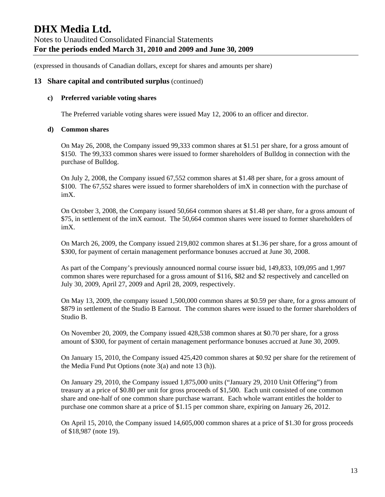### **13 Share capital and contributed surplus** (continued)

#### **c) Preferred variable voting shares**

The Preferred variable voting shares were issued May 12, 2006 to an officer and director.

#### **d) Common shares**

On May 26, 2008, the Company issued 99,333 common shares at \$1.51 per share, for a gross amount of \$150. The 99,333 common shares were issued to former shareholders of Bulldog in connection with the purchase of Bulldog.

On July 2, 2008, the Company issued 67,552 common shares at \$1.48 per share, for a gross amount of \$100. The 67,552 shares were issued to former shareholders of imX in connection with the purchase of imX.

On October 3, 2008, the Company issued 50,664 common shares at \$1.48 per share, for a gross amount of \$75, in settlement of the imX earnout. The 50,664 common shares were issued to former shareholders of imX.

On March 26, 2009, the Company issued 219,802 common shares at \$1.36 per share, for a gross amount of \$300, for payment of certain management performance bonuses accrued at June 30, 2008.

As part of the Company's previously announced normal course issuer bid, 149,833, 109,095 and 1,997 common shares were repurchased for a gross amount of \$116, \$82 and \$2 respectively and cancelled on July 30, 2009, April 27, 2009 and April 28, 2009, respectively.

On May 13, 2009, the company issued 1,500,000 common shares at \$0.59 per share, for a gross amount of \$879 in settlement of the Studio B Earnout. The common shares were issued to the former shareholders of Studio B.

On November 20, 2009, the Company issued 428,538 common shares at \$0.70 per share, for a gross amount of \$300, for payment of certain management performance bonuses accrued at June 30, 2009.

On January 15, 2010, the Company issued 425,420 common shares at \$0.92 per share for the retirement of the Media Fund Put Options (note 3(a) and note 13 (h)).

On January 29, 2010, the Company issued 1,875,000 units ("January 29, 2010 Unit Offering") from treasury at a price of \$0.80 per unit for gross proceeds of \$1,500. Each unit consisted of one common share and one-half of one common share purchase warrant. Each whole warrant entitles the holder to purchase one common share at a price of \$1.15 per common share, expiring on January 26, 2012.

On April 15, 2010, the Company issued 14,605,000 common shares at a price of \$1.30 for gross proceeds of \$18,987 (note 19).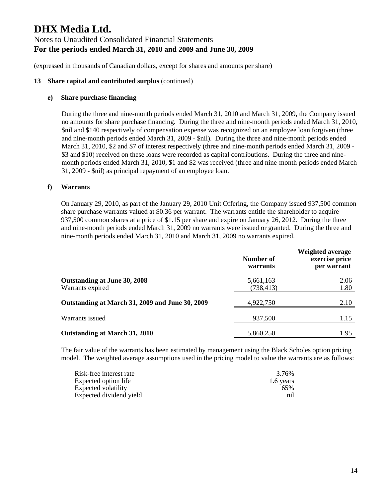#### **13 Share capital and contributed surplus** (continued)

#### **e) Share purchase financing**

During the three and nine-month periods ended March 31, 2010 and March 31, 2009, the Company issued no amounts for share purchase financing. During the three and nine-month periods ended March 31, 2010, \$nil and \$140 respectively of compensation expense was recognized on an employee loan forgiven (three and nine-month periods ended March 31, 2009 - \$nil). During the three and nine-month periods ended March 31, 2010, \$2 and \$7 of interest respectively (three and nine-month periods ended March 31, 2009 - \$3 and \$10) received on these loans were recorded as capital contributions. During the three and ninemonth periods ended March 31, 2010, \$1 and \$2 was received (three and nine-month periods ended March 31, 2009 - \$nil) as principal repayment of an employee loan.

#### **f) Warrants**

On January 29, 2010, as part of the January 29, 2010 Unit Offering, the Company issued 937,500 common share purchase warrants valued at \$0.36 per warrant. The warrants entitle the shareholder to acquire 937,500 common shares at a price of \$1.15 per share and expire on January 26, 2012. During the three and nine-month periods ended March 31, 2009 no warrants were issued or granted. During the three and nine-month periods ended March 31, 2010 and March 31, 2009 no warrants expired.

|                                                  | Number of<br>warrants   | <b>Weighted average</b><br>exercise price<br>per warrant |
|--------------------------------------------------|-------------------------|----------------------------------------------------------|
| Outstanding at June 30, 2008<br>Warrants expired | 5,661,163<br>(738, 413) | 2.06<br>1.80                                             |
| Outstanding at March 31, 2009 and June 30, 2009  | 4,922,750               | 2.10                                                     |
| Warrants issued                                  | 937,500                 | 1.15                                                     |
| Outstanding at March 31, 2010                    | 5,860,250               | 1.95                                                     |

The fair value of the warrants has been estimated by management using the Black Scholes option pricing model. The weighted average assumptions used in the pricing model to value the warrants are as follows:

| Risk-free interest rate | 3.76%     |
|-------------------------|-----------|
| Expected option life    | 1.6 years |
| Expected volatility     | 65%       |
| Expected dividend yield | nil       |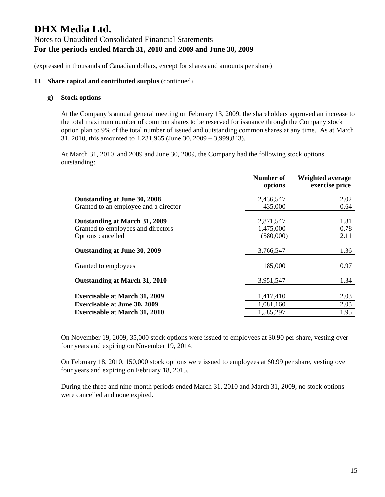#### **13 Share capital and contributed surplus** (continued)

#### **g) Stock options**

At the Company's annual general meeting on February 13, 2009, the shareholders approved an increase to the total maximum number of common shares to be reserved for issuance through the Company stock option plan to 9% of the total number of issued and outstanding common shares at any time. As at March 31, 2010, this amounted to 4,231,965 (June 30, 2009 – 3,999,843).

At March 31, 2010 and 2009 and June 30, 2009, the Company had the following stock options outstanding:

|                                                                                                 | Number of<br>options                | <b>Weighted average</b><br>exercise price |
|-------------------------------------------------------------------------------------------------|-------------------------------------|-------------------------------------------|
| Outstanding at June 30, 2008                                                                    | 2,436,547                           | 2.02                                      |
| Granted to an employee and a director                                                           | 435,000                             | 0.64                                      |
| <b>Outstanding at March 31, 2009</b><br>Granted to employees and directors<br>Options cancelled | 2,871,547<br>1,475,000<br>(580,000) | 1.81<br>0.78<br>2.11                      |
| Outstanding at June 30, 2009                                                                    | 3,766,547                           | 1.36                                      |
| Granted to employees                                                                            | 185,000                             | 0.97                                      |
| Outstanding at March 31, 2010                                                                   | 3,951,547                           | 1.34                                      |
| <b>Exercisable at March 31, 2009</b><br><b>Exercisable at June 30, 2009</b>                     | 1,417,410<br>1,081,160              | 2.03<br>2.03                              |
| <b>Exercisable at March 31, 2010</b>                                                            | 1,585,297                           | 1.95                                      |

On November 19, 2009, 35,000 stock options were issued to employees at \$0.90 per share, vesting over four years and expiring on November 19, 2014.

On February 18, 2010, 150,000 stock options were issued to employees at \$0.99 per share, vesting over four years and expiring on February 18, 2015.

During the three and nine-month periods ended March 31, 2010 and March 31, 2009, no stock options were cancelled and none expired.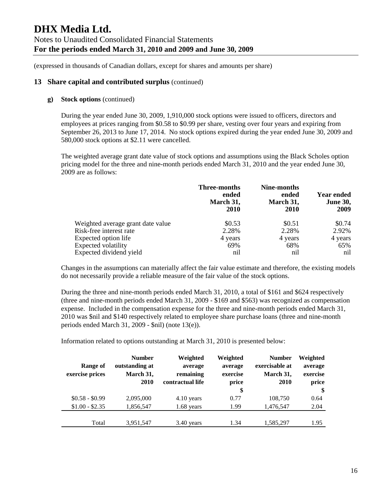#### **13 Share capital and contributed surplus** (continued)

#### **g) Stock options** (continued)

During the year ended June 30, 2009, 1,910,000 stock options were issued to officers, directors and employees at prices ranging from \$0.58 to \$0.99 per share, vesting over four years and expiring from September 26, 2013 to June 17, 2014. No stock options expired during the year ended June 30, 2009 and 580,000 stock options at \$2.11 were cancelled.

The weighted average grant date value of stock options and assumptions using the Black Scholes option pricing model for the three and nine-month periods ended March 31, 2010 and the year ended June 30, 2009 are as follows:

|                                   | <b>Three-months</b><br>ended<br>March 31,<br><b>2010</b> | Nine-months<br>ended<br>March 31,<br><b>2010</b> | <b>Year ended</b><br><b>June 30,</b><br>2009 |
|-----------------------------------|----------------------------------------------------------|--------------------------------------------------|----------------------------------------------|
| Weighted average grant date value | \$0.53                                                   | \$0.51                                           | \$0.74                                       |
| Risk-free interest rate           | 2.28%                                                    | 2.28%                                            | 2.92%                                        |
| Expected option life              | 4 years                                                  | 4 years                                          | 4 years                                      |
| Expected volatility               | 69%                                                      | 68%                                              | 65%                                          |
| Expected dividend yield           | nil                                                      | nil                                              | nil                                          |

Changes in the assumptions can materially affect the fair value estimate and therefore, the existing models do not necessarily provide a reliable measure of the fair value of the stock options.

During the three and nine-month periods ended March 31, 2010, a total of \$161 and \$624 respectively (three and nine-month periods ended March 31, 2009 - \$169 and \$563) was recognized as compensation expense. Included in the compensation expense for the three and nine-month periods ended March 31, 2010 was \$nil and \$140 respectively related to employee share purchase loans (three and nine-month periods ended March 31, 2009 - \$nil) (note 13(e)).

Information related to options outstanding at March 31, 2010 is presented below:

| Range of<br>exercise prices | <b>Number</b><br>outstanding at<br>March 31,<br>2010 | Weighted<br>average<br>remaining<br>contractual life | Weighted<br>average<br>exercise<br>price<br>\$ | <b>Number</b><br>exercisable at<br>March 31,<br>2010 | Weighted<br>average<br>exercise<br>price<br>\$ |
|-----------------------------|------------------------------------------------------|------------------------------------------------------|------------------------------------------------|------------------------------------------------------|------------------------------------------------|
| $$0.58 - $0.99$             | 2,095,000                                            | 4.10 years                                           | 0.77                                           | 108,750                                              | 0.64                                           |
| $$1.00 - $2.35$             | 1,856,547                                            | $1.68$ years                                         | 1.99                                           | 1,476,547                                            | 2.04                                           |
| Total                       | 3,951,547                                            | $3.40$ years                                         | 1.34                                           | 1,585,297                                            | 1.95                                           |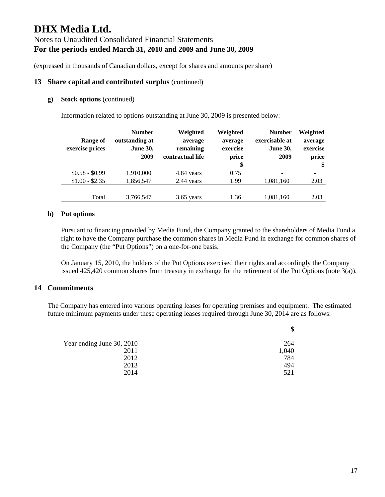#### **13 Share capital and contributed surplus** (continued)

#### **g) Stock options** (continued)

Information related to options outstanding at June 30, 2009 is presented below:

|                 | <b>Number</b>   | Weighted         | Weighted | <b>Number</b>   | Weighted |
|-----------------|-----------------|------------------|----------|-----------------|----------|
| Range of        | outstanding at  | average          | average  | exercisable at  | average  |
| exercise prices | <b>June 30,</b> | remaining        | exercise | <b>June 30,</b> | exercise |
|                 | 2009            | contractual life | price    | 2009            | price    |
|                 |                 |                  | \$       |                 | \$       |
| $$0.58 - $0.99$ | 1,910,000       | 4.84 years       | 0.75     | -               |          |
| $$1.00 - $2.35$ | 1,856,547       | 2.44 years       | 1.99     | 1,081,160       | 2.03     |
|                 |                 |                  |          |                 |          |
| Total           | 3,766,547       | $3.65$ years     | 1.36     | 1,081,160       | 2.03     |

#### **h) Put options**

Pursuant to financing provided by Media Fund, the Company granted to the shareholders of Media Fund a right to have the Company purchase the common shares in Media Fund in exchange for common shares of the Company (the "Put Options") on a one-for-one basis.

On January 15, 2010, the holders of the Put Options exercised their rights and accordingly the Company issued 425,420 common shares from treasury in exchange for the retirement of the Put Options (note 3(a)).

#### **14 Commitments**

The Company has entered into various operating leases for operating premises and equipment. The estimated future minimum payments under these operating leases required through June 30, 2014 are as follows:

| \$    |
|-------|
| 264   |
| 1,040 |
| 784   |
| 494   |
| 521   |
|       |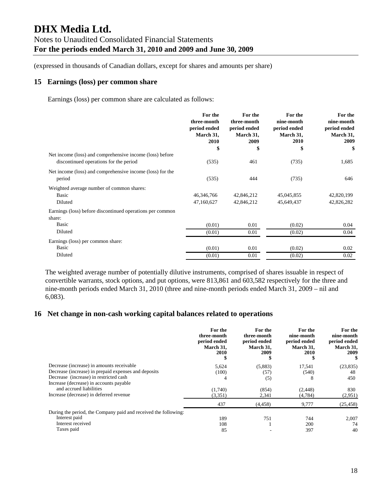#### **15 Earnings (loss) per common share**

Earnings (loss) per common share are calculated as follows:

|                                                                                                    | For the<br>three-month<br>period ended<br>March 31,<br>2010<br>\$ | For the<br>three-month<br>period ended<br>March 31,<br>2009<br>\$ | For the<br>nine-month<br>period ended<br>March 31,<br><b>2010</b><br>\$ | For the<br>nine-month<br>period ended<br>March 31,<br>2009<br>\$ |
|----------------------------------------------------------------------------------------------------|-------------------------------------------------------------------|-------------------------------------------------------------------|-------------------------------------------------------------------------|------------------------------------------------------------------|
| Net income (loss) and comprehensive income (loss) before<br>discontinued operations for the period | (535)                                                             | 461                                                               | (735)                                                                   | 1,685                                                            |
| Net income (loss) and comprehensive income (loss) for the<br>period                                | (535)                                                             | 444                                                               | (735)                                                                   | 646                                                              |
| Weighted average number of common shares:<br>Basic<br>Diluted                                      | 46,346,766<br>47,160,627                                          | 42,846,212<br>42,846,212                                          | 45,045,855<br>45,649,437                                                | 42,820,199<br>42,826,282                                         |
| Earnings (loss) before discontinued operations per common<br>share:<br>Basic                       | (0.01)                                                            | 0.01                                                              | (0.02)                                                                  | 0.04                                                             |
| Diluted                                                                                            | (0.01)                                                            | 0.01                                                              | (0.02)                                                                  | 0.04                                                             |
| Earnings (loss) per common share:<br>Basic                                                         | (0.01)                                                            | 0.01                                                              | (0.02)                                                                  | 0.02                                                             |
| Diluted                                                                                            | (0.01)                                                            | 0.01                                                              | (0.02)                                                                  | 0.02                                                             |

The weighted average number of potentially dilutive instruments, comprised of shares issuable in respect of convertible warrants, stock options, and put options, were 813,861 and 603,582 respectively for the three and nine-month periods ended March 31, 2010 (three and nine-month periods ended March 31, 2009 – nil and 6,083).

#### **16 Net change in non-cash working capital balances related to operations**

|                                                                 | For the<br>three-month<br>period ended<br>March 31,<br><b>2010</b> | For the<br>three-month<br>period ended<br>March 31.<br>2009 | For the<br>nine-month<br>period ended<br>March 31,<br><b>2010</b> | For the<br>nine-month<br>period ended<br>March 31,<br>2009<br>S |
|-----------------------------------------------------------------|--------------------------------------------------------------------|-------------------------------------------------------------|-------------------------------------------------------------------|-----------------------------------------------------------------|
| Decrease (increase) in amounts receivable                       | 5,624                                                              | (5,883)                                                     | 17,541                                                            | (23, 835)                                                       |
| Decrease (increase) in prepaid expenses and deposits            | (100)                                                              | (57)                                                        | (540)                                                             | 48                                                              |
| Decrease (increase) in restricted cash                          | 4                                                                  | (5)                                                         | х                                                                 | 450                                                             |
| Increase (decrease) in accounts payable                         |                                                                    |                                                             |                                                                   |                                                                 |
| and accrued liabilities                                         | (1,740)                                                            | (854)                                                       | (2, 448)                                                          | 830                                                             |
| Increase (decrease) in deferred revenue                         | (3,351)                                                            | 2,341                                                       | (4,784)                                                           | (2,951)                                                         |
|                                                                 | 437                                                                | (4, 458)                                                    | 9,777                                                             | (25, 458)                                                       |
| During the period, the Company paid and received the following: |                                                                    |                                                             |                                                                   |                                                                 |
| Interest paid                                                   | 189                                                                | 751                                                         | 744                                                               | 2.007                                                           |
| Interest received                                               | 108                                                                |                                                             | 200                                                               | 74                                                              |
| Taxes paid                                                      | 85                                                                 |                                                             | 397                                                               | 40                                                              |